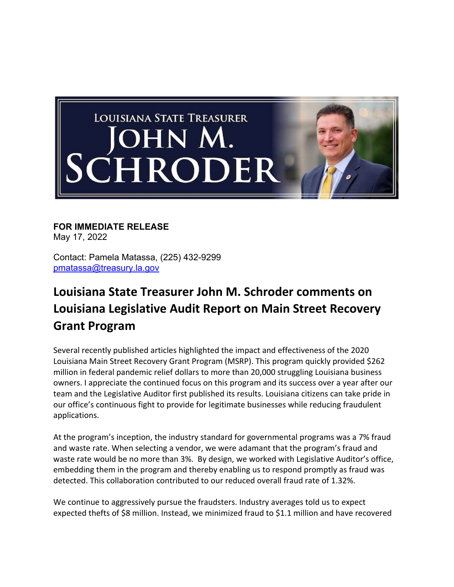

## **FOR IMMEDIATE RELEASE**

May 17, 2022

Contact: Pamela Matassa, (225) 432-9299 pmatassa@treasury.la.gov

## **Louisiana State Treasurer John M. Schroder comments on Louisiana Legislative Audit Report on Main Street Recovery Grant Program**

Several recently published articles highlighted the impact and effectiveness of the 2020 Louisiana Main Street Recovery Grant Program (MSRP). This program quickly provided \$262 million in federal pandemic relief dollars to more than 20,000 struggling Louisiana business owners. I appreciate the continued focus on this program and its success over a year after our team and the Legislative Auditor first published its results. Louisiana citizens can take pride in our office's continuous fight to provide for legitimate businesses while reducing fraudulent applications.

At the program's inception, the industry standard for governmental programs was a 7% fraud and waste rate. When selecting a vendor, we were adamant that the program's fraud and waste rate would be no more than 3%. By design, we worked with Legislative Auditor's office, embedding them in the program and thereby enabling us to respond promptly as fraud was detected. This collaboration contributed to our reduced overall fraud rate of 1.32%.

We continue to aggressively pursue the fraudsters. Industry averages told us to expect expected thefts of \$8 million. Instead, we minimized fraud to \$1.1 million and have recovered